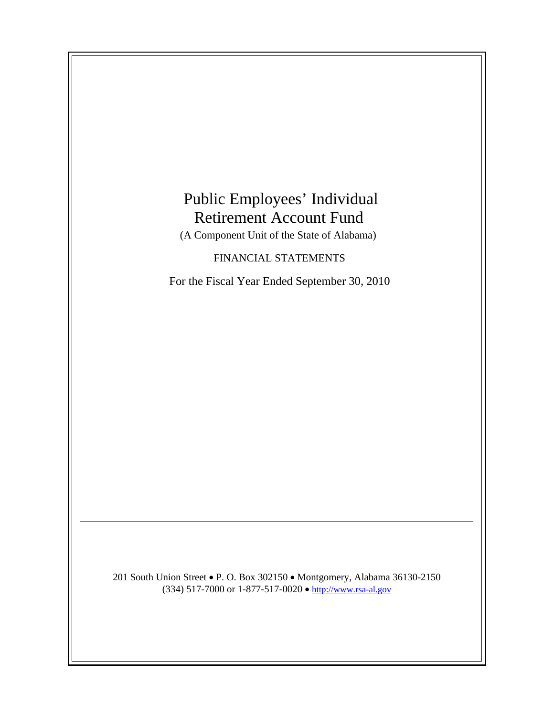# Public Employees' Individual Retirement Account Fund

(A Component Unit of the State of Alabama)

FINANCIAL STATEMENTS

For the Fiscal Year Ended September 30, 2010

201 South Union Street • P. O. Box 302150 • Montgomery, Alabama 36130-2150 (334) 517-7000 or 1-877-517-0020 • [http://www.rsa-al.gov](http://www.rsa.state.al.us/)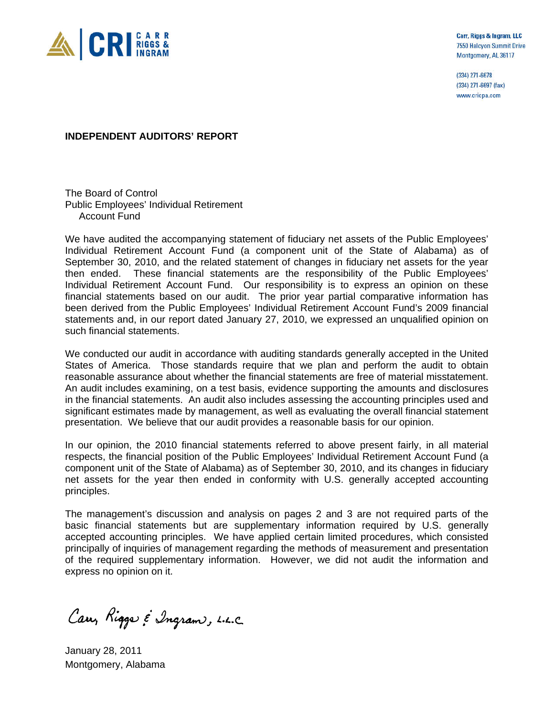

Carr, Riggs & Ingram, LLC 7550 Halcyon Summit Drive Montgomery, AL 36117

(334) 271-6678 (334) 271-6697 (fax) www.cricpa.com

#### **INDEPENDENT AUDITORS' REPORT**

The Board of Control Public Employees' Individual Retirement Account Fund

We have audited the accompanying statement of fiduciary net assets of the Public Employees' Individual Retirement Account Fund (a component unit of the State of Alabama) as of September 30, 2010, and the related statement of changes in fiduciary net assets for the year then ended. These financial statements are the responsibility of the Public Employees' Individual Retirement Account Fund. Our responsibility is to express an opinion on these financial statements based on our audit. The prior year partial comparative information has been derived from the Public Employees' Individual Retirement Account Fund's 2009 financial statements and, in our report dated January 27, 2010, we expressed an unqualified opinion on such financial statements.

We conducted our audit in accordance with auditing standards generally accepted in the United States of America. Those standards require that we plan and perform the audit to obtain reasonable assurance about whether the financial statements are free of material misstatement. An audit includes examining, on a test basis, evidence supporting the amounts and disclosures in the financial statements. An audit also includes assessing the accounting principles used and significant estimates made by management, as well as evaluating the overall financial statement presentation. We believe that our audit provides a reasonable basis for our opinion.

In our opinion, the 2010 financial statements referred to above present fairly, in all material respects, the financial position of the Public Employees' Individual Retirement Account Fund (a component unit of the State of Alabama) as of September 30, 2010, and its changes in fiduciary net assets for the year then ended in conformity with U.S. generally accepted accounting principles.

The management's discussion and analysis on pages 2 and 3 are not required parts of the basic financial statements but are supplementary information required by U.S. generally accepted accounting principles. We have applied certain limited procedures, which consisted principally of inquiries of management regarding the methods of measurement and presentation of the required supplementary information. However, we did not audit the information and express no opinion on it.

Carr, Rigger & Ingram, L.L.C.

January 28, 2011 Montgomery, Alabama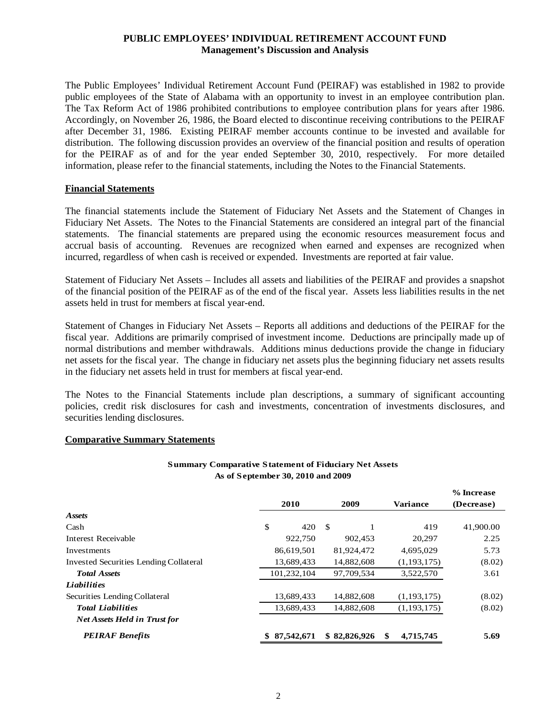#### **PUBLIC EMPLOYEES' INDIVIDUAL RETIREMENT ACCOUNT FUND Management's Discussion and Analysis**

The Public Employees' Individual Retirement Account Fund (PEIRAF) was established in 1982 to provide public employees of the State of Alabama with an opportunity to invest in an employee contribution plan. The Tax Reform Act of 1986 prohibited contributions to employee contribution plans for years after 1986. Accordingly, on November 26, 1986, the Board elected to discontinue receiving contributions to the PEIRAF after December 31, 1986. Existing PEIRAF member accounts continue to be invested and available for distribution. The following discussion provides an overview of the financial position and results of operation for the PEIRAF as of and for the year ended September 30, 2010, respectively. For more detailed information, please refer to the financial statements, including the Notes to the Financial Statements.

#### **Financial Statements**

The financial statements include the Statement of Fiduciary Net Assets and the Statement of Changes in Fiduciary Net Assets. The Notes to the Financial Statements are considered an integral part of the financial statements. The financial statements are prepared using the economic resources measurement focus and accrual basis of accounting. Revenues are recognized when earned and expenses are recognized when incurred, regardless of when cash is received or expended. Investments are reported at fair value.

Statement of Fiduciary Net Assets – Includes all assets and liabilities of the PEIRAF and provides a snapshot of the financial position of the PEIRAF as of the end of the fiscal year. Assets less liabilities results in the net assets held in trust for members at fiscal year-end.

Statement of Changes in Fiduciary Net Assets – Reports all additions and deductions of the PEIRAF for the fiscal year. Additions are primarily comprised of investment income. Deductions are principally made up of normal distributions and member withdrawals. Additions minus deductions provide the change in fiduciary net assets for the fiscal year. The change in fiduciary net assets plus the beginning fiduciary net assets results in the fiduciary net assets held in trust for members at fiscal year-end.

The Notes to the Financial Statements include plan descriptions, a summary of significant accounting policies, credit risk disclosures for cash and investments, concentration of investments disclosures, and securities lending disclosures.

#### **Comparative Summary Statements**

#### **Summary Comparative Statement of Fiduciary Net Assets As of September 30, 2010 and 2009**

 $0/$ **Increase** 

|                                        |              |              |                  | 70 шилсаэс |  |
|----------------------------------------|--------------|--------------|------------------|------------|--|
|                                        | 2010         | 2009         | <b>Variance</b>  | (Decrease) |  |
| <b>Assets</b>                          |              |              |                  |            |  |
| Cash                                   | \$<br>420    | -S           | 419              | 41,900.00  |  |
| Interest Receivable                    | 922,750      | 902,453      | 20,297           | 2.25       |  |
| Investments                            | 86,619,501   | 81.924.472   | 4,695,029        | 5.73       |  |
| Invested Securities Lending Collateral | 13,689,433   | 14,882,608   | (1, 193, 175)    | (8.02)     |  |
| <b>Total Assets</b>                    | 101,232,104  | 97,709,534   | 3,522,570        | 3.61       |  |
| <b>Liabilities</b>                     |              |              |                  |            |  |
| Securities Lending Collateral          | 13,689,433   | 14.882.608   | (1,193,175)      | (8.02)     |  |
| <b>Total Liabilities</b>               | 13,689,433   | 14,882,608   | (1,193,175)      | (8.02)     |  |
| <b>Net Assets Held in Trust for</b>    |              |              |                  |            |  |
| <b>PEIRAF Benefits</b>                 | \$87,542,671 | \$82,826,926 | 4,715,745<br>-SS | 5.69       |  |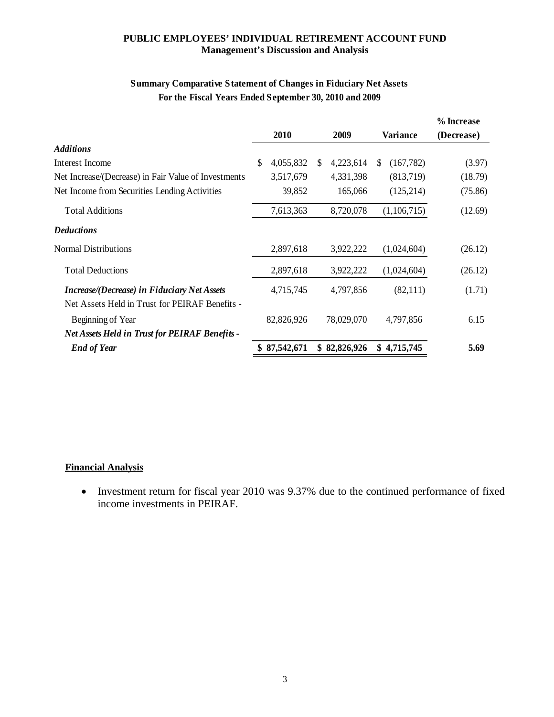#### **PUBLIC EMPLOYEES' INDIVIDUAL RETIREMENT ACCOUNT FUND Management's Discussion and Analysis**

## **Summary Comparative Statement of Changes in Fiduciary Net Assets For the Fiscal Years Ended September 30, 2010 and 2009**

|                 |                            |            |                   | % Increase |
|-----------------|----------------------------|------------|-------------------|------------|
| 2010            |                            | 2009       | <b>Variance</b>   | (Decrease) |
|                 |                            |            |                   |            |
| \$<br>4,055,832 | \$.                        | 4,223,614  | (167, 782)<br>\$. | (3.97)     |
| 3,517,679       |                            | 4,331,398  | (813,719)         | (18.79)    |
| 39,852          |                            | 165,066    | (125, 214)        | (75.86)    |
| 7,613,363       |                            | 8,720,078  | (1,106,715)       | (12.69)    |
|                 |                            |            |                   |            |
| 2,897,618       |                            | 3,922,222  | (1,024,604)       | (26.12)    |
| 2,897,618       |                            | 3,922,222  | (1,024,604)       | (26.12)    |
| 4,715,745       |                            | 4,797,856  | (82,111)          | (1.71)     |
|                 |                            | 78,029,070 | 4,797,856         | 6.15       |
|                 |                            |            | \$4,715,745       | 5.69       |
|                 | 82,826,926<br>\$87,542,671 |            | \$82,826,926      |            |

#### **Financial Analysis**

• Investment return for fiscal year 2010 was 9.37% due to the continued performance of fixed income investments in PEIRAF.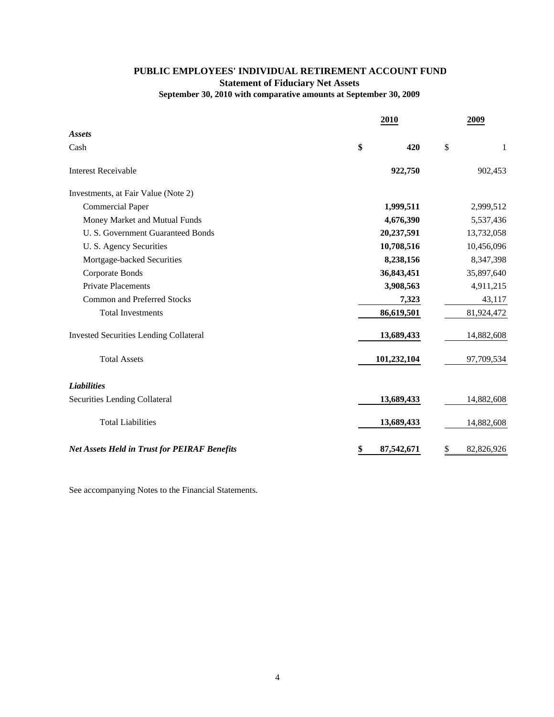### **PUBLIC EMPLOYEES' INDIVIDUAL RETIREMENT ACCOUNT FUND Statement of Fiduciary Net Assets September 30, 2010 with comparative amounts at September 30, 2009**

|                                                     |    | 2009        |    |            |
|-----------------------------------------------------|----|-------------|----|------------|
| <b>Assets</b>                                       |    |             |    |            |
| Cash                                                | \$ | 420         | \$ | 1          |
| <b>Interest Receivable</b>                          |    | 922,750     |    | 902,453    |
| Investments, at Fair Value (Note 2)                 |    |             |    |            |
| <b>Commercial Paper</b>                             |    | 1,999,511   |    | 2,999,512  |
| Money Market and Mutual Funds                       |    | 4,676,390   |    | 5,537,436  |
| U. S. Government Guaranteed Bonds                   |    | 20,237,591  |    | 13,732,058 |
| U. S. Agency Securities                             |    | 10,708,516  |    | 10,456,096 |
| Mortgage-backed Securities                          |    | 8,238,156   |    | 8,347,398  |
| Corporate Bonds                                     |    | 36,843,451  |    | 35,897,640 |
| <b>Private Placements</b>                           |    | 3,908,563   |    | 4,911,215  |
| <b>Common and Preferred Stocks</b>                  |    | 7,323       |    | 43,117     |
| <b>Total Investments</b>                            |    | 86,619,501  |    | 81,924,472 |
| <b>Invested Securities Lending Collateral</b>       |    | 13,689,433  |    | 14,882,608 |
| <b>Total Assets</b>                                 |    | 101,232,104 |    | 97,709,534 |
| <b>Liabilities</b>                                  |    |             |    |            |
| Securities Lending Collateral                       |    | 13,689,433  |    | 14,882,608 |
| <b>Total Liabilities</b>                            |    | 13,689,433  |    | 14,882,608 |
| <b>Net Assets Held in Trust for PEIRAF Benefits</b> | \$ | 87,542,671  | \$ | 82,826,926 |

See accompanying Notes to the Financial Statements.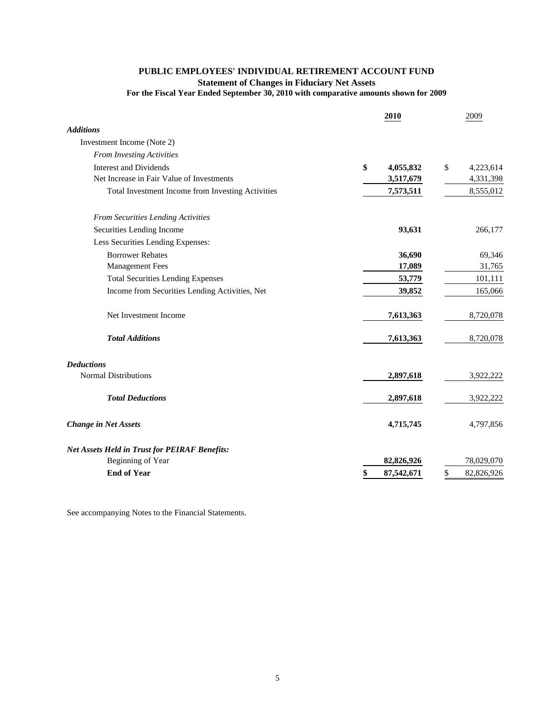#### **PUBLIC EMPLOYEES' INDIVIDUAL RETIREMENT ACCOUNT FUND Statement of Changes in Fiduciary Net Assets For the Fiscal Year Ended September 30, 2010 with comparative amounts shown for 2009**

|                                                      | 2010             | 2009             |
|------------------------------------------------------|------------------|------------------|
| <b>Additions</b>                                     |                  |                  |
| Investment Income (Note 2)                           |                  |                  |
| <b>From Investing Activities</b>                     |                  |                  |
| <b>Interest and Dividends</b>                        | \$<br>4,055,832  | \$<br>4,223,614  |
| Net Increase in Fair Value of Investments            | 3,517,679        | 4,331,398        |
| Total Investment Income from Investing Activities    | 7,573,511        | 8,555,012        |
| From Securities Lending Activities                   |                  |                  |
| Securities Lending Income                            | 93,631           | 266,177          |
| Less Securities Lending Expenses:                    |                  |                  |
| <b>Borrower Rebates</b>                              | 36,690           | 69,346           |
| <b>Management Fees</b>                               | 17,089           | 31,765           |
| <b>Total Securities Lending Expenses</b>             | 53,779           | 101,111          |
| Income from Securities Lending Activities, Net       | 39,852           | 165,066          |
| Net Investment Income                                | 7,613,363        | 8,720,078        |
| <b>Total Additions</b>                               | 7,613,363        | 8,720,078        |
| <b>Deductions</b>                                    |                  |                  |
| <b>Normal Distributions</b>                          | 2,897,618        | 3,922,222        |
| <b>Total Deductions</b>                              | 2,897,618        | 3,922,222        |
| <b>Change in Net Assets</b>                          | 4,715,745        | 4,797,856        |
| <b>Net Assets Held in Trust for PEIRAF Benefits:</b> |                  |                  |
| Beginning of Year                                    | 82,826,926       | 78,029,070       |
| <b>End of Year</b>                                   | 87,542,671<br>\$ | \$<br>82,826,926 |

See accompanying Notes to the Financial Statements.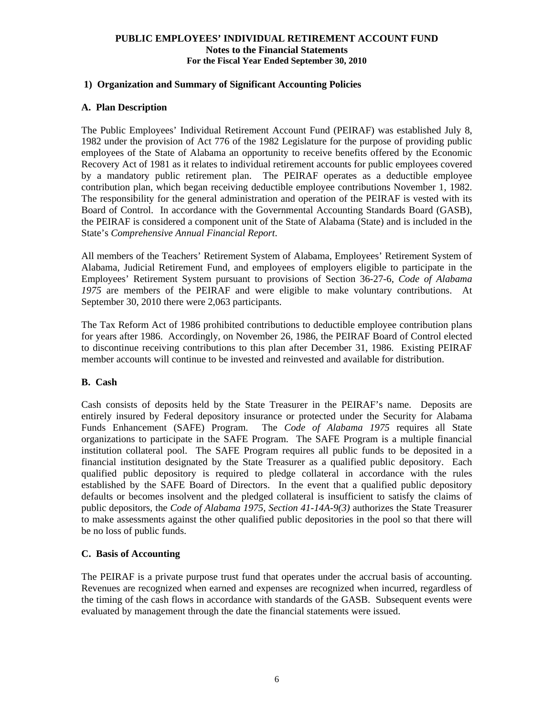#### **1) Organization and Summary of Significant Accounting Policies**

#### **A. Plan Description**

The Public Employees' Individual Retirement Account Fund (PEIRAF) was established July 8, 1982 under the provision of Act 776 of the 1982 Legislature for the purpose of providing public employees of the State of Alabama an opportunity to receive benefits offered by the Economic Recovery Act of 1981 as it relates to individual retirement accounts for public employees covered by a mandatory public retirement plan. The PEIRAF operates as a deductible employee contribution plan, which began receiving deductible employee contributions November 1, 1982. The responsibility for the general administration and operation of the PEIRAF is vested with its Board of Control. In accordance with the Governmental Accounting Standards Board (GASB), the PEIRAF is considered a component unit of the State of Alabama (State) and is included in the State's *Comprehensive Annual Financial Report*.

All members of the Teachers' Retirement System of Alabama, Employees' Retirement System of Alabama, Judicial Retirement Fund, and employees of employers eligible to participate in the Employees' Retirement System pursuant to provisions of Section 36-27-6, *Code of Alabama 1975* are members of the PEIRAF and were eligible to make voluntary contributions. At September 30, 2010 there were 2,063 participants.

The Tax Reform Act of 1986 prohibited contributions to deductible employee contribution plans for years after 1986. Accordingly, on November 26, 1986, the PEIRAF Board of Control elected to discontinue receiving contributions to this plan after December 31, 1986. Existing PEIRAF member accounts will continue to be invested and reinvested and available for distribution.

#### **B. Cash**

Cash consists of deposits held by the State Treasurer in the PEIRAF's name. Deposits are entirely insured by Federal depository insurance or protected under the Security for Alabama Funds Enhancement (SAFE) Program. The *Code of Alabama 1975* requires all State organizations to participate in the SAFE Program. The SAFE Program is a multiple financial institution collateral pool. The SAFE Program requires all public funds to be deposited in a financial institution designated by the State Treasurer as a qualified public depository. Each qualified public depository is required to pledge collateral in accordance with the rules established by the SAFE Board of Directors. In the event that a qualified public depository defaults or becomes insolvent and the pledged collateral is insufficient to satisfy the claims of public depositors, the *Code of Alabama 1975, Section 41-14A-9(3)* authorizes the State Treasurer to make assessments against the other qualified public depositories in the pool so that there will be no loss of public funds.

#### **C. Basis of Accounting**

The PEIRAF is a private purpose trust fund that operates under the accrual basis of accounting. Revenues are recognized when earned and expenses are recognized when incurred, regardless of the timing of the cash flows in accordance with standards of the GASB. Subsequent events were evaluated by management through the date the financial statements were issued.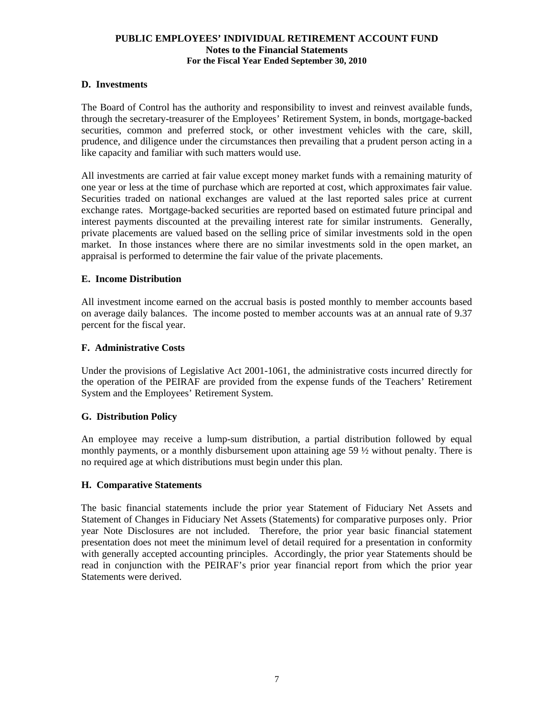#### **D. Investments**

The Board of Control has the authority and responsibility to invest and reinvest available funds, through the secretary-treasurer of the Employees' Retirement System, in bonds, mortgage-backed securities, common and preferred stock, or other investment vehicles with the care, skill, prudence, and diligence under the circumstances then prevailing that a prudent person acting in a like capacity and familiar with such matters would use.

All investments are carried at fair value except money market funds with a remaining maturity of one year or less at the time of purchase which are reported at cost, which approximates fair value. Securities traded on national exchanges are valued at the last reported sales price at current exchange rates. Mortgage-backed securities are reported based on estimated future principal and interest payments discounted at the prevailing interest rate for similar instruments. Generally, private placements are valued based on the selling price of similar investments sold in the open market. In those instances where there are no similar investments sold in the open market, an appraisal is performed to determine the fair value of the private placements.

#### **E. Income Distribution**

All investment income earned on the accrual basis is posted monthly to member accounts based on average daily balances. The income posted to member accounts was at an annual rate of 9.37 percent for the fiscal year.

#### **F. Administrative Costs**

Under the provisions of Legislative Act 2001-1061, the administrative costs incurred directly for the operation of the PEIRAF are provided from the expense funds of the Teachers' Retirement System and the Employees' Retirement System.

#### **G. Distribution Policy**

An employee may receive a lump-sum distribution, a partial distribution followed by equal monthly payments, or a monthly disbursement upon attaining age 59  $\frac{1}{2}$  without penalty. There is no required age at which distributions must begin under this plan.

#### **H. Comparative Statements**

 The basic financial statements include the prior year Statement of Fiduciary Net Assets and Statement of Changes in Fiduciary Net Assets (Statements) for comparative purposes only. Prior year Note Disclosures are not included. Therefore, the prior year basic financial statement presentation does not meet the minimum level of detail required for a presentation in conformity with generally accepted accounting principles. Accordingly, the prior year Statements should be read in conjunction with the PEIRAF's prior year financial report from which the prior year Statements were derived.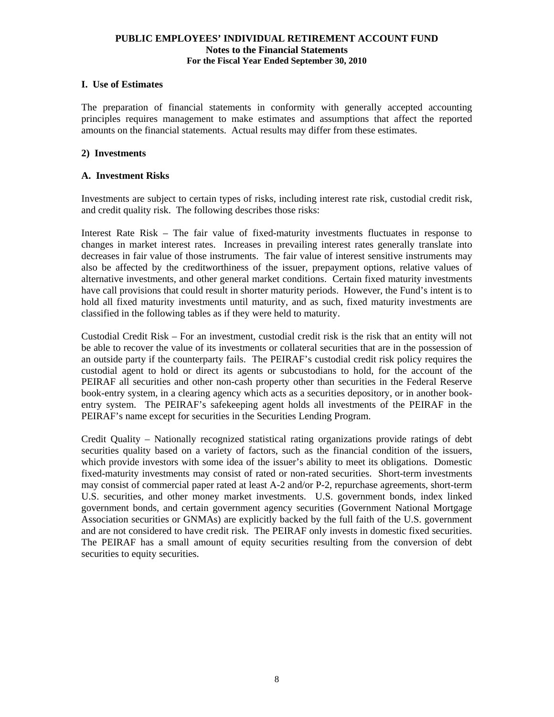#### **I. Use of Estimates**

The preparation of financial statements in conformity with generally accepted accounting principles requires management to make estimates and assumptions that affect the reported amounts on the financial statements. Actual results may differ from these estimates.

#### **2) Investments**

#### **A. Investment Risks**

Investments are subject to certain types of risks, including interest rate risk, custodial credit risk, and credit quality risk. The following describes those risks:

Interest Rate Risk – The fair value of fixed-maturity investments fluctuates in response to changes in market interest rates. Increases in prevailing interest rates generally translate into decreases in fair value of those instruments. The fair value of interest sensitive instruments may also be affected by the creditworthiness of the issuer, prepayment options, relative values of alternative investments, and other general market conditions. Certain fixed maturity investments have call provisions that could result in shorter maturity periods. However, the Fund's intent is to hold all fixed maturity investments until maturity, and as such, fixed maturity investments are classified in the following tables as if they were held to maturity.

Custodial Credit Risk – For an investment, custodial credit risk is the risk that an entity will not be able to recover the value of its investments or collateral securities that are in the possession of an outside party if the counterparty fails. The PEIRAF's custodial credit risk policy requires the custodial agent to hold or direct its agents or subcustodians to hold, for the account of the PEIRAF all securities and other non-cash property other than securities in the Federal Reserve book-entry system, in a clearing agency which acts as a securities depository, or in another bookentry system. The PEIRAF's safekeeping agent holds all investments of the PEIRAF in the PEIRAF's name except for securities in the Securities Lending Program.

Credit Quality – Nationally recognized statistical rating organizations provide ratings of debt securities quality based on a variety of factors, such as the financial condition of the issuers, which provide investors with some idea of the issuer's ability to meet its obligations. Domestic fixed-maturity investments may consist of rated or non-rated securities. Short-term investments may consist of commercial paper rated at least A-2 and/or P-2, repurchase agreements, short-term U.S. securities, and other money market investments. U.S. government bonds, index linked government bonds, and certain government agency securities (Government National Mortgage Association securities or GNMAs) are explicitly backed by the full faith of the U.S. government and are not considered to have credit risk. The PEIRAF only invests in domestic fixed securities. The PEIRAF has a small amount of equity securities resulting from the conversion of debt securities to equity securities.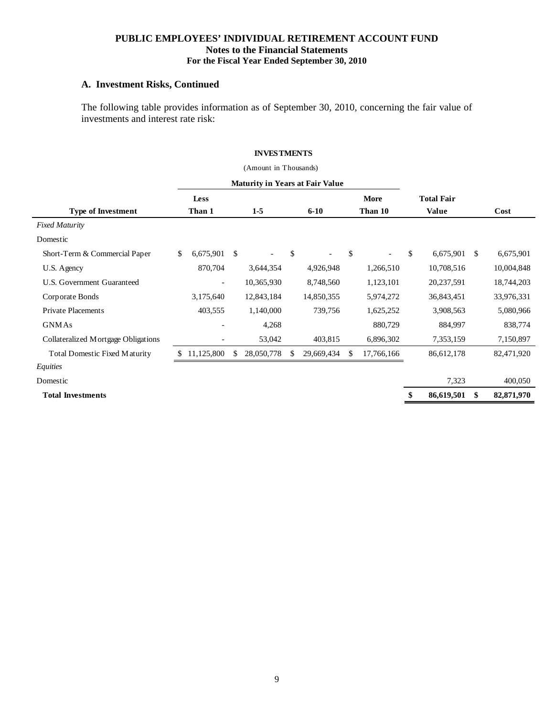#### **A. Investment Risks, Continued**

The following table provides information as of September 30, 2010, concerning the fair value of investments and interest rate risk:

#### **INVESTMENTS**

|                                        |    |                          |               | (Amount in Thousands) |     |                          |    |                          |                   |     |            |
|----------------------------------------|----|--------------------------|---------------|-----------------------|-----|--------------------------|----|--------------------------|-------------------|-----|------------|
| <b>Maturity in Years at Fair Value</b> |    |                          |               |                       |     |                          |    |                          |                   |     |            |
|                                        |    | <b>Less</b>              |               |                       |     |                          |    | More                     | <b>Total Fair</b> |     |            |
| <b>Type of Investment</b>              |    | Than 1                   |               | $1-5$                 |     | $6 - 10$                 |    | Than 10                  | <b>Value</b>      |     | Cost       |
| <b>Fixed Maturity</b>                  |    |                          |               |                       |     |                          |    |                          |                   |     |            |
| Domestic                               |    |                          |               |                       |     |                          |    |                          |                   |     |            |
| Short-Term & Commercial Paper          | \$ | 6,675,901                | <sup>\$</sup> |                       | \$  | $\overline{\phantom{a}}$ | \$ | $\overline{\phantom{a}}$ | \$<br>6,675,901   | \$. | 6,675,901  |
| U.S. Agency                            |    | 870,704                  |               | 3,644,354             |     | 4,926,948                |    | 1,266,510                | 10,708,516        |     | 10,004,848 |
| U.S. Government Guaranteed             |    | $\overline{\phantom{a}}$ |               | 10,365,930            |     | 8,748,560                |    | 1,123,101                | 20,237,591        |     | 18,744,203 |
| Corporate Bonds                        |    | 3,175,640                |               | 12,843,184            |     | 14,850,355               |    | 5,974,272                | 36,843,451        |     | 33,976,331 |
| <b>Private Placements</b>              |    | 403,555                  |               | 1,140,000             |     | 739,756                  |    | 1,625,252                | 3,908,563         |     | 5,080,966  |
| <b>GNMAs</b>                           |    |                          |               | 4,268                 |     |                          |    | 880,729                  | 884,997           |     | 838,774    |
| Collateralized Mortgage Obligations    |    |                          |               | 53,042                |     | 403,815                  |    | 6,896,302                | 7,353,159         |     | 7,150,897  |
| <b>Total Domestic Fixed Maturity</b>   |    | 11,125,800               | \$            | 28,050,778            | -SS | 29,669,434               | -S | 17,766,166               | 86,612,178        |     | 82,471,920 |
| Equities                               |    |                          |               |                       |     |                          |    |                          |                   |     |            |
| Domestic                               |    |                          |               |                       |     |                          |    |                          | 7,323             |     | 400,050    |
| <b>Total Investments</b>               |    |                          |               |                       |     |                          |    |                          | \$<br>86,619,501  | \$. | 82,871,970 |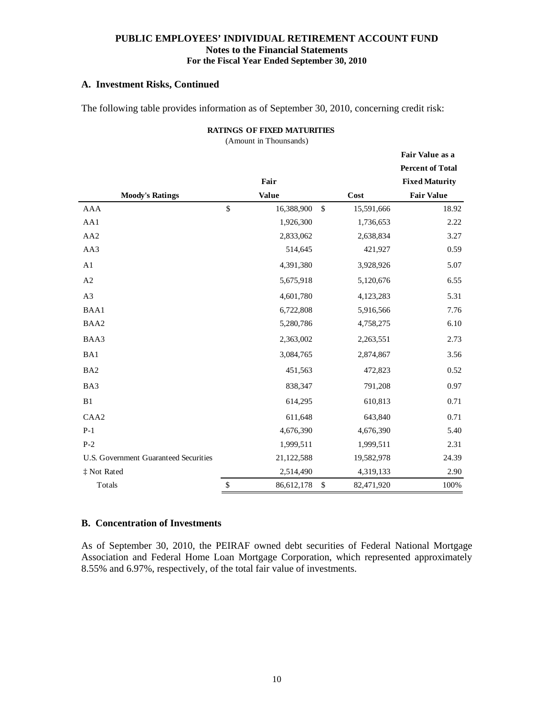#### **A. Investment Risks, Continued**

The following table provides information as of September 30, 2010, concerning credit risk:

(Amount in Thounsands)

|                                       |              |              |                  | Fair Value as a         |
|---------------------------------------|--------------|--------------|------------------|-------------------------|
|                                       |              |              |                  | <b>Percent of Total</b> |
|                                       |              | Fair         |                  | <b>Fixed Maturity</b>   |
| <b>Moody's Ratings</b>                |              | <b>Value</b> | Cost             | <b>Fair Value</b>       |
| <b>AAA</b>                            | $\mathbb{S}$ | 16,388,900   | \$<br>15,591,666 | 18.92                   |
| AA1                                   |              | 1,926,300    | 1,736,653        | 2.22                    |
| AA2                                   |              | 2,833,062    | 2,638,834        | 3.27                    |
| AA3                                   |              | 514,645      | 421,927          | 0.59                    |
| A1                                    |              | 4,391,380    | 3,928,926        | 5.07                    |
| A2                                    |              | 5,675,918    | 5,120,676        | 6.55                    |
| A3                                    |              | 4,601,780    | 4,123,283        | 5.31                    |
| BAA1                                  |              | 6,722,808    | 5,916,566        | 7.76                    |
| BAA2                                  |              | 5,280,786    | 4,758,275        | 6.10                    |
| BAA3                                  |              | 2,363,002    | 2,263,551        | 2.73                    |
| BA1                                   |              | 3,084,765    | 2,874,867        | 3.56                    |
| BA <sub>2</sub>                       |              | 451,563      | 472,823          | 0.52                    |
| BA3                                   |              | 838,347      | 791,208          | 0.97                    |
| B1                                    |              | 614,295      | 610,813          | 0.71                    |
| CAA <sub>2</sub>                      |              | 611,648      | 643,840          | 0.71                    |
| $P-1$                                 |              | 4,676,390    | 4,676,390        | 5.40                    |
| $P-2$                                 |              | 1,999,511    | 1,999,511        | 2.31                    |
| U.S. Government Guaranteed Securities |              | 21,122,588   | 19,582,978       | 24.39                   |
| ‡ Not Rated                           |              | 2,514,490    | 4,319,133        | 2.90                    |
| Totals                                | \$           | 86,612,178   | \$<br>82,471,920 | 100%                    |

#### **B. Concentration of Investments**

As of September 30, 2010, the PEIRAF owned debt securities of Federal National Mortgage Association and Federal Home Loan Mortgage Corporation, which represented approximately 8.55% and 6.97%, respectively, of the total fair value of investments.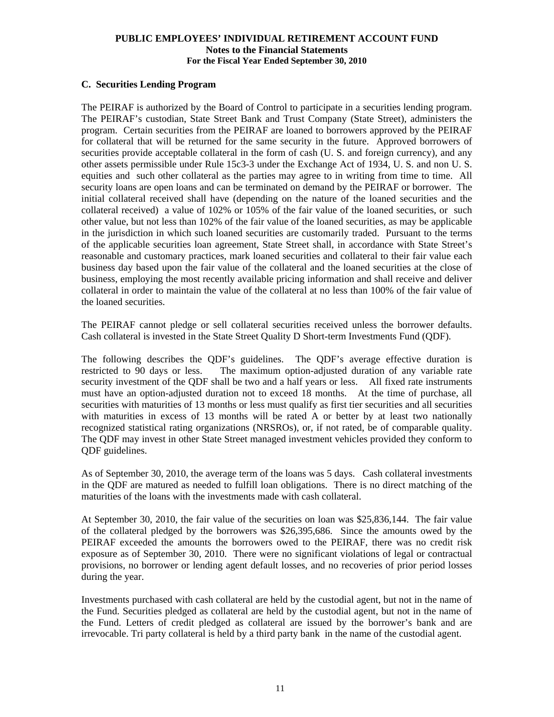#### **C. Securities Lending Program**

The PEIRAF is authorized by the Board of Control to participate in a securities lending program. The PEIRAF's custodian, State Street Bank and Trust Company (State Street), administers the program. Certain securities from the PEIRAF are loaned to borrowers approved by the PEIRAF for collateral that will be returned for the same security in the future. Approved borrowers of securities provide acceptable collateral in the form of cash (U. S. and foreign currency), and any other assets permissible under Rule 15c3-3 under the Exchange Act of 1934, U. S. and non U. S. equities and such other collateral as the parties may agree to in writing from time to time. All security loans are open loans and can be terminated on demand by the PEIRAF or borrower. The initial collateral received shall have (depending on the nature of the loaned securities and the collateral received) a value of  $102\%$  or  $105\%$  of the fair value of the loaned securities, or such other value, but not less than 102% of the fair value of the loaned securities, as may be applicable in the jurisdiction in which such loaned securities are customarily traded. Pursuant to the terms of the applicable securities loan agreement, State Street shall, in accordance with State Street's reasonable and customary practices, mark loaned securities and collateral to their fair value each business day based upon the fair value of the collateral and the loaned securities at the close of business, employing the most recently available pricing information and shall receive and deliver collateral in order to maintain the value of the collateral at no less than 100% of the fair value of the loaned securities.

The PEIRAF cannot pledge or sell collateral securities received unless the borrower defaults. Cash collateral is invested in the State Street Quality D Short-term Investments Fund (QDF).

The following describes the QDF's guidelines. The QDF's average effective duration is restricted to 90 days or less. The maximum option-adjusted duration of any variable rate security investment of the QDF shall be two and a half years or less. All fixed rate instruments must have an option-adjusted duration not to exceed 18 months. At the time of purchase, all securities with maturities of 13 months or less must qualify as first tier securities and all securities with maturities in excess of 13 months will be rated A or better by at least two nationally recognized statistical rating organizations (NRSROs), or, if not rated, be of comparable quality. The QDF may invest in other State Street managed investment vehicles provided they conform to QDF guidelines.

As of September 30, 2010, the average term of the loans was 5 days. Cash collateral investments in the QDF are matured as needed to fulfill loan obligations. There is no direct matching of the maturities of the loans with the investments made with cash collateral.

At September 30, 2010, the fair value of the securities on loan was \$25,836,144. The fair value of the collateral pledged by the borrowers was \$26,395,686. Since the amounts owed by the PEIRAF exceeded the amounts the borrowers owed to the PEIRAF, there was no credit risk exposure as of September 30, 2010. There were no significant violations of legal or contractual provisions, no borrower or lending agent default losses, and no recoveries of prior period losses during the year.

Investments purchased with cash collateral are held by the custodial agent, but not in the name of the Fund. Securities pledged as collateral are held by the custodial agent, but not in the name of the Fund. Letters of credit pledged as collateral are issued by the borrower's bank and are irrevocable. Tri party collateral is held by a third party bank in the name of the custodial agent.